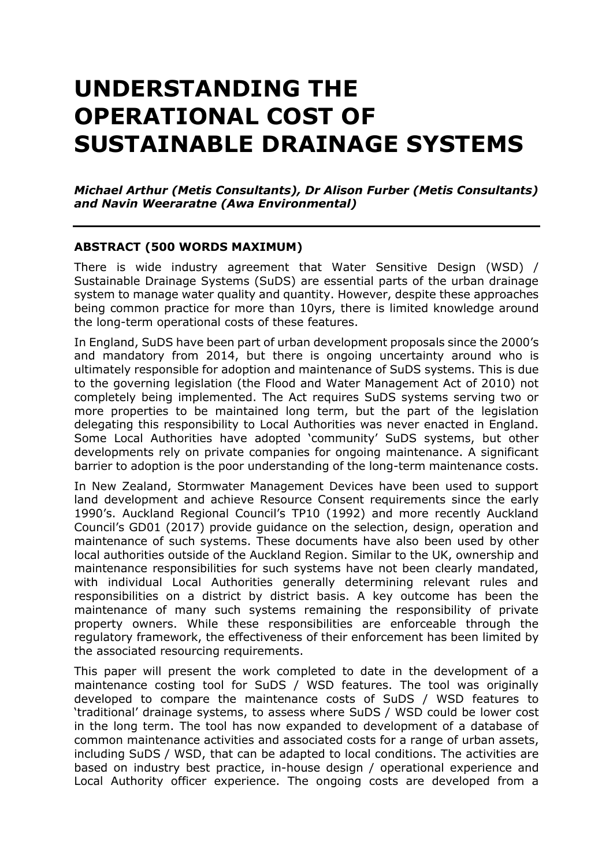# **UNDERSTANDING THE OPERATIONAL COST OF SUSTAINABLE DRAINAGE SYSTEMS**

*Michael Arthur (Metis Consultants), Dr Alison Furber (Metis Consultants) and Navin Weeraratne (Awa Environmental)*

#### **ABSTRACT (500 WORDS MAXIMUM)**

There is wide industry agreement that Water Sensitive Design (WSD) / Sustainable Drainage Systems (SuDS) are essential parts of the urban drainage system to manage water quality and quantity. However, despite these approaches being common practice for more than 10yrs, there is limited knowledge around the long-term operational costs of these features.

In England, SuDS have been part of urban development proposals since the 2000's and mandatory from 2014, but there is ongoing uncertainty around who is ultimately responsible for adoption and maintenance of SuDS systems. This is due to the governing legislation (the Flood and Water Management Act of 2010) not completely being implemented. The Act requires SuDS systems serving two or more properties to be maintained long term, but the part of the legislation delegating this responsibility to Local Authorities was never enacted in England. Some Local Authorities have adopted 'community' SuDS systems, but other developments rely on private companies for ongoing maintenance. A significant barrier to adoption is the poor understanding of the long-term maintenance costs.

In New Zealand, Stormwater Management Devices have been used to support land development and achieve Resource Consent requirements since the early 1990's. Auckland Regional Council's TP10 (1992) and more recently Auckland Council's GD01 (2017) provide guidance on the selection, design, operation and maintenance of such systems. These documents have also been used by other local authorities outside of the Auckland Region. Similar to the UK, ownership and maintenance responsibilities for such systems have not been clearly mandated, with individual Local Authorities generally determining relevant rules and responsibilities on a district by district basis. A key outcome has been the maintenance of many such systems remaining the responsibility of private property owners. While these responsibilities are enforceable through the regulatory framework, the effectiveness of their enforcement has been limited by the associated resourcing requirements.

This paper will present the work completed to date in the development of a maintenance costing tool for SuDS / WSD features. The tool was originally developed to compare the maintenance costs of SuDS / WSD features to 'traditional' drainage systems, to assess where SuDS / WSD could be lower cost in the long term. The tool has now expanded to development of a database of common maintenance activities and associated costs for a range of urban assets, including SuDS / WSD, that can be adapted to local conditions. The activities are based on industry best practice, in-house design / operational experience and Local Authority officer experience. The ongoing costs are developed from a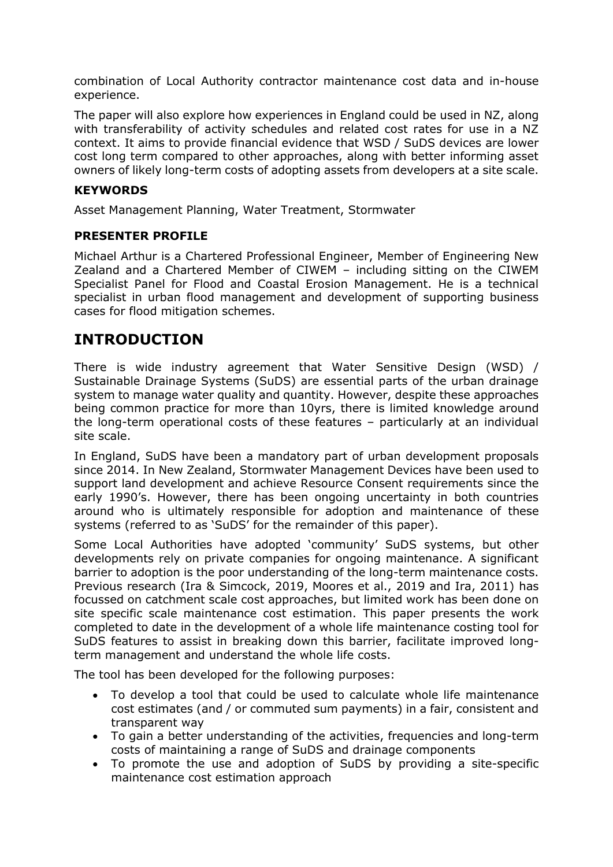combination of Local Authority contractor maintenance cost data and in-house experience.

The paper will also explore how experiences in England could be used in NZ, along with transferability of activity schedules and related cost rates for use in a NZ context. It aims to provide financial evidence that WSD / SuDS devices are lower cost long term compared to other approaches, along with better informing asset owners of likely long-term costs of adopting assets from developers at a site scale.

#### **KEYWORDS**

Asset Management Planning, Water Treatment, Stormwater

#### **PRESENTER PROFILE**

Michael Arthur is a Chartered Professional Engineer, Member of Engineering New Zealand and a Chartered Member of CIWEM – including sitting on the CIWEM Specialist Panel for Flood and Coastal Erosion Management. He is a technical specialist in urban flood management and development of supporting business cases for flood mitigation schemes.

### **INTRODUCTION**

There is wide industry agreement that Water Sensitive Design (WSD) / Sustainable Drainage Systems (SuDS) are essential parts of the urban drainage system to manage water quality and quantity. However, despite these approaches being common practice for more than 10yrs, there is limited knowledge around the long-term operational costs of these features – particularly at an individual site scale.

In England, SuDS have been a mandatory part of urban development proposals since 2014. In New Zealand, Stormwater Management Devices have been used to support land development and achieve Resource Consent requirements since the early 1990's. However, there has been ongoing uncertainty in both countries around who is ultimately responsible for adoption and maintenance of these systems (referred to as 'SuDS' for the remainder of this paper).

Some Local Authorities have adopted 'community' SuDS systems, but other developments rely on private companies for ongoing maintenance. A significant barrier to adoption is the poor understanding of the long-term maintenance costs. Previous research (Ira & Simcock, 2019, Moores et al., 2019 and Ira, 2011) has focussed on catchment scale cost approaches, but limited work has been done on site specific scale maintenance cost estimation. This paper presents the work completed to date in the development of a whole life maintenance costing tool for SuDS features to assist in breaking down this barrier, facilitate improved longterm management and understand the whole life costs.

The tool has been developed for the following purposes:

- To develop a tool that could be used to calculate whole life maintenance cost estimates (and / or commuted sum payments) in a fair, consistent and transparent way
- To gain a better understanding of the activities, frequencies and long-term costs of maintaining a range of SuDS and drainage components
- To promote the use and adoption of SuDS by providing a site-specific maintenance cost estimation approach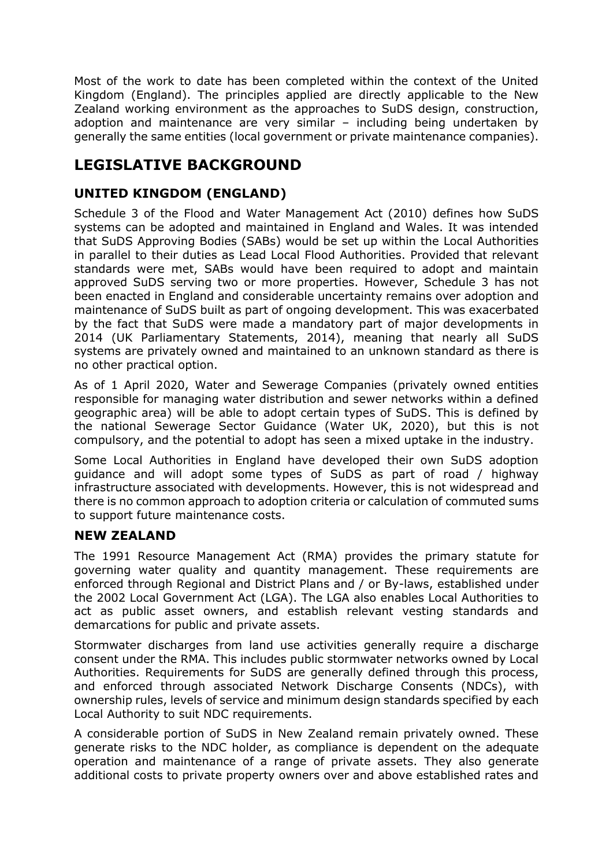Most of the work to date has been completed within the context of the United Kingdom (England). The principles applied are directly applicable to the New Zealand working environment as the approaches to SuDS design, construction, adoption and maintenance are very similar – including being undertaken by generally the same entities (local government or private maintenance companies).

# **LEGISLATIVE BACKGROUND**

#### **UNITED KINGDOM (ENGLAND)**

Schedule 3 of the Flood and Water Management Act (2010) defines how SuDS systems can be adopted and maintained in England and Wales. It was intended that SuDS Approving Bodies (SABs) would be set up within the Local Authorities in parallel to their duties as Lead Local Flood Authorities. Provided that relevant standards were met, SABs would have been required to adopt and maintain approved SuDS serving two or more properties. However, Schedule 3 has not been enacted in England and considerable uncertainty remains over adoption and maintenance of SuDS built as part of ongoing development. This was exacerbated by the fact that SuDS were made a mandatory part of major developments in 2014 (UK Parliamentary Statements, 2014), meaning that nearly all SuDS systems are privately owned and maintained to an unknown standard as there is no other practical option.

As of 1 April 2020, Water and Sewerage Companies (privately owned entities responsible for managing water distribution and sewer networks within a defined geographic area) will be able to adopt certain types of SuDS. This is defined by the national Sewerage Sector Guidance (Water UK, 2020), but this is not compulsory, and the potential to adopt has seen a mixed uptake in the industry.

Some Local Authorities in England have developed their own SuDS adoption guidance and will adopt some types of SuDS as part of road / highway infrastructure associated with developments. However, this is not widespread and there is no common approach to adoption criteria or calculation of commuted sums to support future maintenance costs.

#### **NEW ZEALAND**

The 1991 Resource Management Act (RMA) provides the primary statute for governing water quality and quantity management. These requirements are enforced through Regional and District Plans and / or By-laws, established under the 2002 Local Government Act (LGA). The LGA also enables Local Authorities to act as public asset owners, and establish relevant vesting standards and demarcations for public and private assets.

Stormwater discharges from land use activities generally require a discharge consent under the RMA. This includes public stormwater networks owned by Local Authorities. Requirements for SuDS are generally defined through this process, and enforced through associated Network Discharge Consents (NDCs), with ownership rules, levels of service and minimum design standards specified by each Local Authority to suit NDC requirements.

A considerable portion of SuDS in New Zealand remain privately owned. These generate risks to the NDC holder, as compliance is dependent on the adequate operation and maintenance of a range of private assets. They also generate additional costs to private property owners over and above established rates and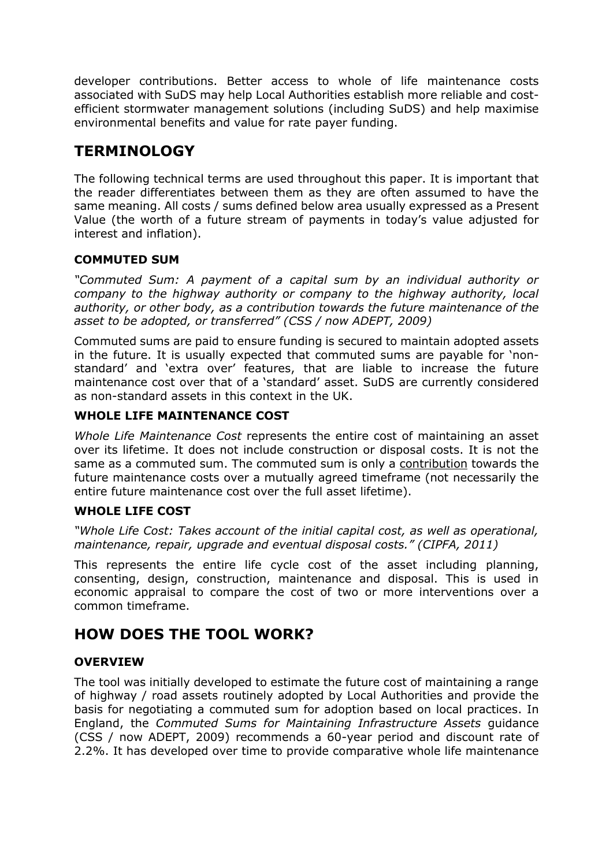developer contributions. Better access to whole of life maintenance costs associated with SuDS may help Local Authorities establish more reliable and costefficient stormwater management solutions (including SuDS) and help maximise environmental benefits and value for rate payer funding.

# **TERMINOLOGY**

The following technical terms are used throughout this paper. It is important that the reader differentiates between them as they are often assumed to have the same meaning. All costs / sums defined below area usually expressed as a Present Value (the worth of a future stream of payments in today's value adjusted for interest and inflation).

#### **COMMUTED SUM**

*"Commuted Sum: A payment of a capital sum by an individual authority or company to the highway authority or company to the highway authority, local authority, or other body, as a contribution towards the future maintenance of the asset to be adopted, or transferred" (CSS / now ADEPT, 2009)*

Commuted sums are paid to ensure funding is secured to maintain adopted assets in the future. It is usually expected that commuted sums are payable for 'nonstandard' and 'extra over' features, that are liable to increase the future maintenance cost over that of a 'standard' asset. SuDS are currently considered as non-standard assets in this context in the UK.

#### **WHOLE LIFE MAINTENANCE COST**

*Whole Life Maintenance Cost* represents the entire cost of maintaining an asset over its lifetime. It does not include construction or disposal costs. It is not the same as a commuted sum. The commuted sum is only a contribution towards the future maintenance costs over a mutually agreed timeframe (not necessarily the entire future maintenance cost over the full asset lifetime).

#### **WHOLE LIFE COST**

*"Whole Life Cost: Takes account of the initial capital cost, as well as operational, maintenance, repair, upgrade and eventual disposal costs." (CIPFA, 2011)*

This represents the entire life cycle cost of the asset including planning, consenting, design, construction, maintenance and disposal. This is used in economic appraisal to compare the cost of two or more interventions over a common timeframe.

## **HOW DOES THE TOOL WORK?**

#### **OVERVIEW**

The tool was initially developed to estimate the future cost of maintaining a range of highway / road assets routinely adopted by Local Authorities and provide the basis for negotiating a commuted sum for adoption based on local practices. In England, the *Commuted Sums for Maintaining Infrastructure Assets* guidance (CSS / now ADEPT, 2009) recommends a 60-year period and discount rate of 2.2%. It has developed over time to provide comparative whole life maintenance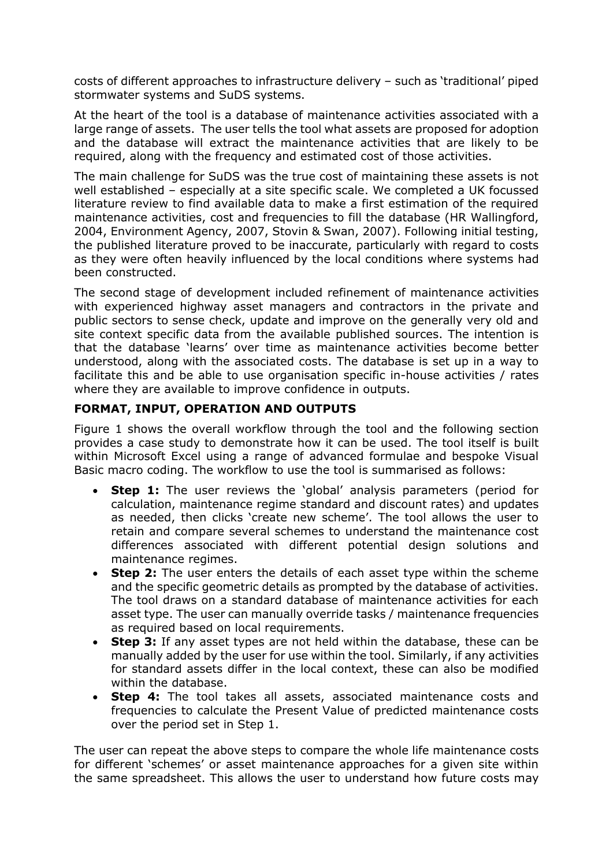costs of different approaches to infrastructure delivery – such as 'traditional' piped stormwater systems and SuDS systems.

At the heart of the tool is a database of maintenance activities associated with a large range of assets. The user tells the tool what assets are proposed for adoption and the database will extract the maintenance activities that are likely to be required, along with the frequency and estimated cost of those activities.

The main challenge for SuDS was the true cost of maintaining these assets is not well established – especially at a site specific scale. We completed a UK focussed literature review to find available data to make a first estimation of the required maintenance activities, cost and frequencies to fill the database (HR Wallingford, 2004, Environment Agency, 2007, Stovin & Swan, 2007). Following initial testing, the published literature proved to be inaccurate, particularly with regard to costs as they were often heavily influenced by the local conditions where systems had been constructed.

The second stage of development included refinement of maintenance activities with experienced highway asset managers and contractors in the private and public sectors to sense check, update and improve on the generally very old and site context specific data from the available published sources. The intention is that the database 'learns' over time as maintenance activities become better understood, along with the associated costs. The database is set up in a way to facilitate this and be able to use organisation specific in-house activities / rates where they are available to improve confidence in outputs.

#### **FORMAT, INPUT, OPERATION AND OUTPUTS**

Figure 1 shows the overall workflow through the tool and the following section provides a case study to demonstrate how it can be used. The tool itself is built within Microsoft Excel using a range of advanced formulae and bespoke Visual Basic macro coding. The workflow to use the tool is summarised as follows:

- **Step 1:** The user reviews the 'global' analysis parameters (period for calculation, maintenance regime standard and discount rates) and updates as needed, then clicks 'create new scheme'. The tool allows the user to retain and compare several schemes to understand the maintenance cost differences associated with different potential design solutions and maintenance regimes.
- **Step 2:** The user enters the details of each asset type within the scheme and the specific geometric details as prompted by the database of activities. The tool draws on a standard database of maintenance activities for each asset type. The user can manually override tasks / maintenance frequencies as required based on local requirements.
- **Step 3:** If any asset types are not held within the database, these can be manually added by the user for use within the tool. Similarly, if any activities for standard assets differ in the local context, these can also be modified within the database.
- **Step 4:** The tool takes all assets, associated maintenance costs and frequencies to calculate the Present Value of predicted maintenance costs over the period set in Step 1.

The user can repeat the above steps to compare the whole life maintenance costs for different 'schemes' or asset maintenance approaches for a given site within the same spreadsheet. This allows the user to understand how future costs may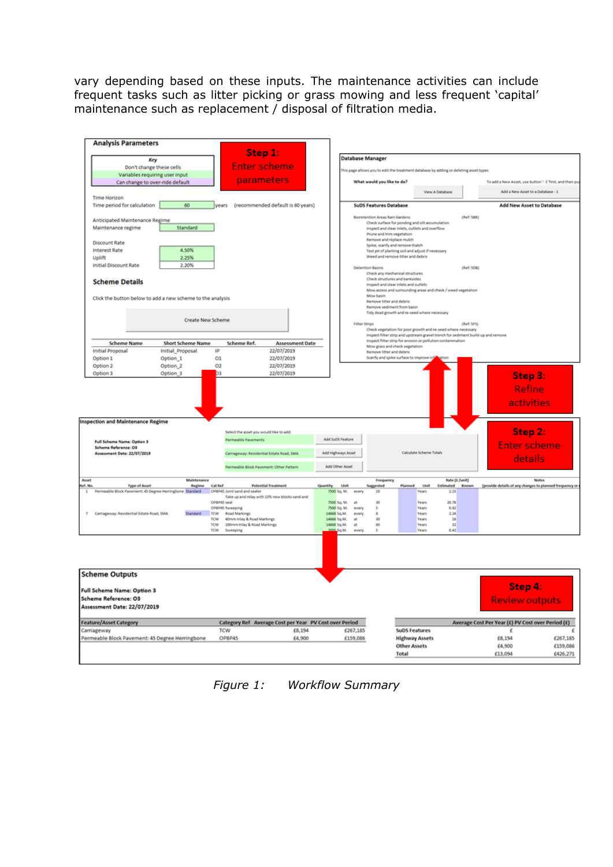vary depending based on these inputs. The maintenance activities can include frequent tasks such as litter picking or grass mowing and less frequent 'capital' maintenance such as replacement / disposal of filtration media.



*Figure 1: Workflow Summary*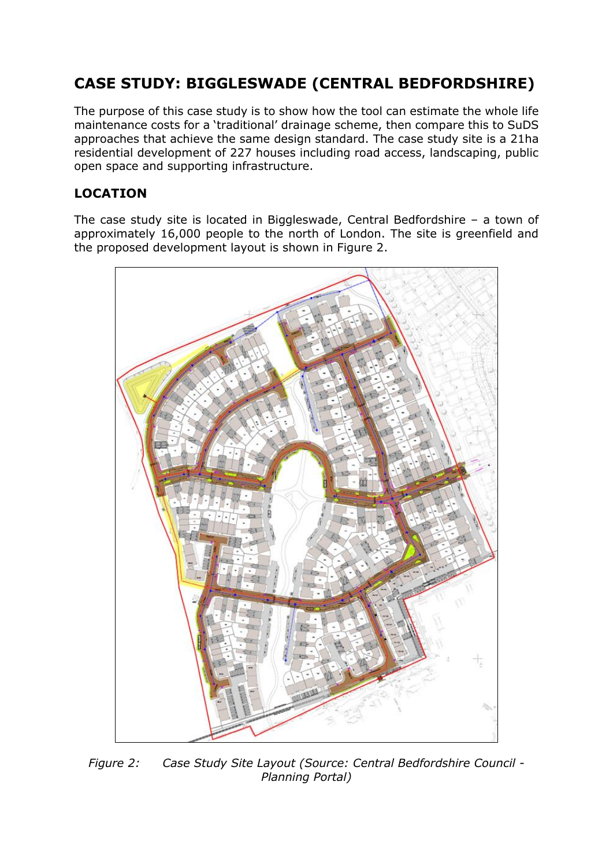# **CASE STUDY: BIGGLESWADE (CENTRAL BEDFORDSHIRE)**

The purpose of this case study is to show how the tool can estimate the whole life maintenance costs for a 'traditional' drainage scheme, then compare this to SuDS approaches that achieve the same design standard. The case study site is a 21ha residential development of 227 houses including road access, landscaping, public open space and supporting infrastructure.

#### **LOCATION**

The case study site is located in Biggleswade, Central Bedfordshire – a town of approximately 16,000 people to the north of London. The site is greenfield and the proposed development layout is shown in Figure 2.



*Figure 2: Case Study Site Layout (Source: Central Bedfordshire Council - Planning Portal)*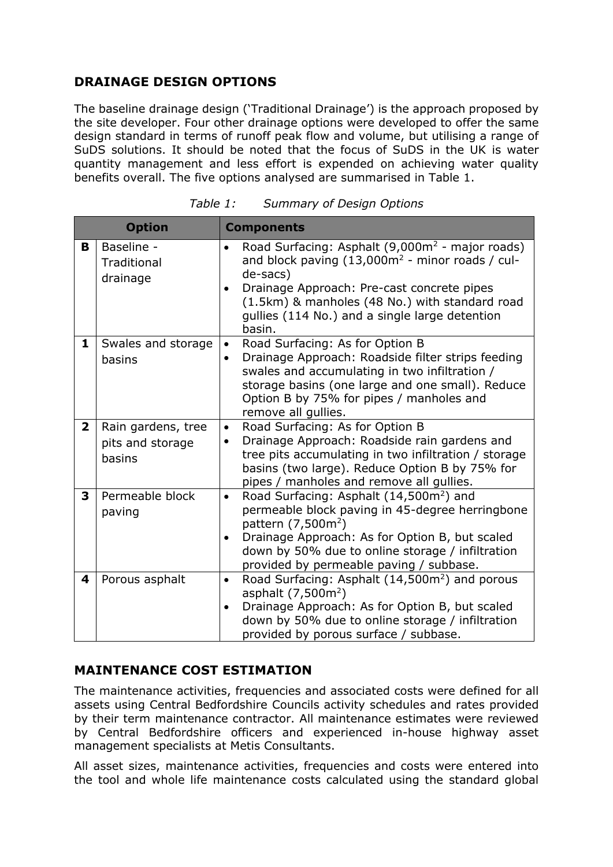#### **DRAINAGE DESIGN OPTIONS**

The baseline drainage design ('Traditional Drainage') is the approach proposed by the site developer. Four other drainage options were developed to offer the same design standard in terms of runoff peak flow and volume, but utilising a range of SuDS solutions. It should be noted that the focus of SuDS in the UK is water quantity management and less effort is expended on achieving water quality benefits overall. The five options analysed are summarised in Table 1.

| <b>Option</b>           |                                                  | <b>Components</b>                                                                                                                                                                                                                                                                                                   |
|-------------------------|--------------------------------------------------|---------------------------------------------------------------------------------------------------------------------------------------------------------------------------------------------------------------------------------------------------------------------------------------------------------------------|
| B                       | Baseline -<br>Traditional<br>drainage            | Road Surfacing: Asphalt (9,000m <sup>2</sup> - major roads)<br>$\bullet$<br>and block paving $(13,000m^2 - minor$ roads / cul-<br>de-sacs)<br>Drainage Approach: Pre-cast concrete pipes<br>$\bullet$<br>(1.5km) & manholes (48 No.) with standard road<br>gullies (114 No.) and a single large detention<br>basin. |
| 1                       | Swales and storage<br>basins                     | Road Surfacing: As for Option B<br>$\bullet$<br>Drainage Approach: Roadside filter strips feeding<br>$\bullet$<br>swales and accumulating in two infiltration /<br>storage basins (one large and one small). Reduce<br>Option B by 75% for pipes / manholes and<br>remove all gullies.                              |
| $\overline{\mathbf{2}}$ | Rain gardens, tree<br>pits and storage<br>basins | Road Surfacing: As for Option B<br>$\bullet$<br>Drainage Approach: Roadside rain gardens and<br>$\bullet$<br>tree pits accumulating in two infiltration / storage<br>basins (two large). Reduce Option B by 75% for<br>pipes / manholes and remove all gullies.                                                     |
| 3                       | Permeable block<br>paving                        | Road Surfacing: Asphalt (14,500m <sup>2</sup> ) and<br>$\bullet$<br>permeable block paving in 45-degree herringbone<br>pattern (7,500m <sup>2</sup> )<br>Drainage Approach: As for Option B, but scaled<br>$\bullet$<br>down by 50% due to online storage / infiltration<br>provided by permeable paving / subbase. |
| 4                       | Porous asphalt                                   | Road Surfacing: Asphalt (14,500m <sup>2</sup> ) and porous<br>$\bullet$<br>asphalt $(7,500m^2)$<br>Drainage Approach: As for Option B, but scaled<br>$\bullet$<br>down by 50% due to online storage / infiltration<br>provided by porous surface / subbase.                                                         |

| Table 1: | <b>Summary of Design Options</b> |  |
|----------|----------------------------------|--|
|          |                                  |  |

#### **MAINTENANCE COST ESTIMATION**

The maintenance activities, frequencies and associated costs were defined for all assets using Central Bedfordshire Councils activity schedules and rates provided by their term maintenance contractor. All maintenance estimates were reviewed by Central Bedfordshire officers and experienced in-house highway asset management specialists at Metis Consultants.

All asset sizes, maintenance activities, frequencies and costs were entered into the tool and whole life maintenance costs calculated using the standard global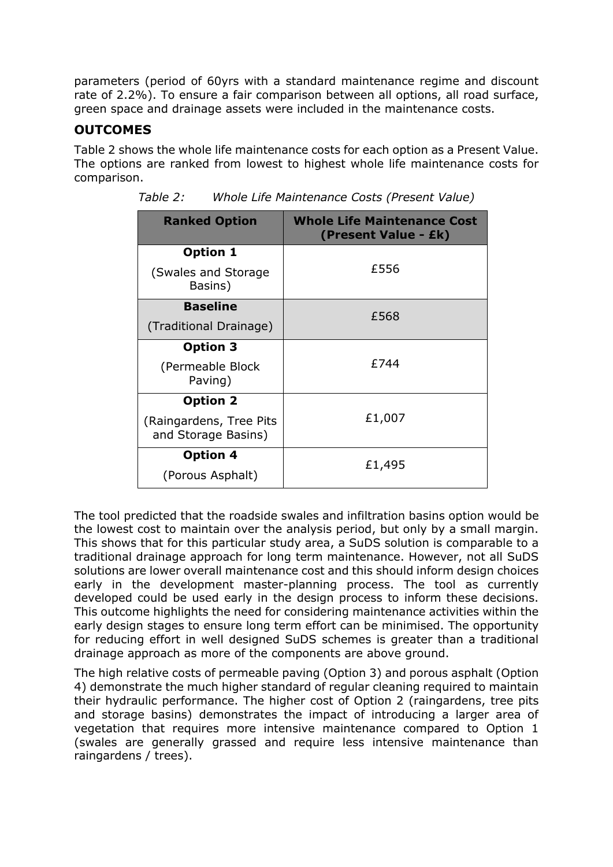parameters (period of 60yrs with a standard maintenance regime and discount rate of 2.2%). To ensure a fair comparison between all options, all road surface, green space and drainage assets were included in the maintenance costs.

#### **OUTCOMES**

Table 2 shows the whole life maintenance costs for each option as a Present Value. The options are ranked from lowest to highest whole life maintenance costs for comparison.

| <b>Ranked Option</b>                           | <b>Whole Life Maintenance Cost</b><br>(Present Value - £k) |  |
|------------------------------------------------|------------------------------------------------------------|--|
| Option 1                                       |                                                            |  |
| (Swales and Storage<br>Basins)                 | £556                                                       |  |
| <b>Baseline</b>                                | £568                                                       |  |
| (Traditional Drainage)                         |                                                            |  |
| <b>Option 3</b>                                | f 744                                                      |  |
| (Permeable Block<br>Paving)                    |                                                            |  |
| <b>Option 2</b>                                |                                                            |  |
| (Raingardens, Tree Pits<br>and Storage Basins) | £1,007                                                     |  |
| <b>Option 4</b>                                | £1,495                                                     |  |
| (Porous Asphalt)                               |                                                            |  |

*Table 2: Whole Life Maintenance Costs (Present Value)*

The tool predicted that the roadside swales and infiltration basins option would be the lowest cost to maintain over the analysis period, but only by a small margin. This shows that for this particular study area, a SuDS solution is comparable to a traditional drainage approach for long term maintenance. However, not all SuDS solutions are lower overall maintenance cost and this should inform design choices early in the development master-planning process. The tool as currently developed could be used early in the design process to inform these decisions. This outcome highlights the need for considering maintenance activities within the early design stages to ensure long term effort can be minimised. The opportunity for reducing effort in well designed SuDS schemes is greater than a traditional drainage approach as more of the components are above ground.

The high relative costs of permeable paving (Option 3) and porous asphalt (Option 4) demonstrate the much higher standard of regular cleaning required to maintain their hydraulic performance. The higher cost of Option 2 (raingardens, tree pits and storage basins) demonstrates the impact of introducing a larger area of vegetation that requires more intensive maintenance compared to Option 1 (swales are generally grassed and require less intensive maintenance than raingardens / trees).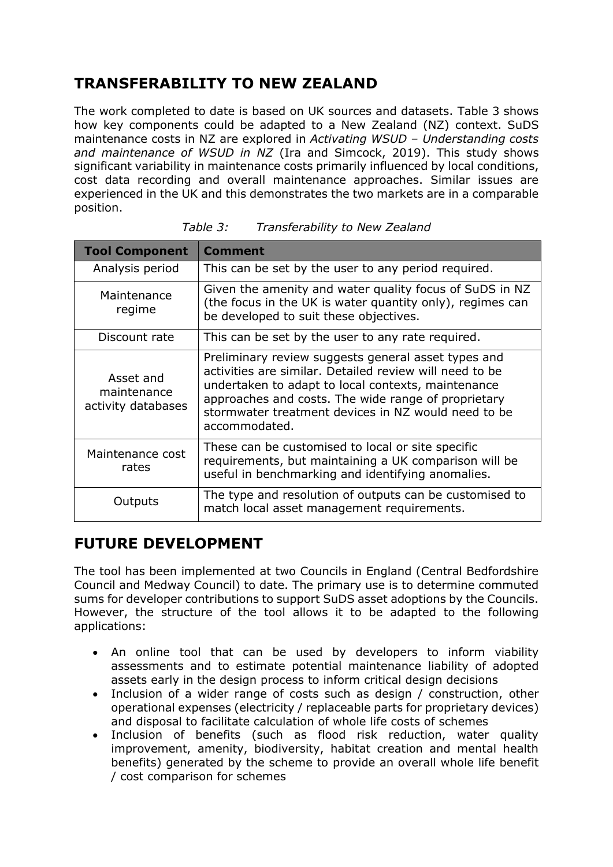# **TRANSFERABILITY TO NEW ZEALAND**

The work completed to date is based on UK sources and datasets. Table 3 shows how key components could be adapted to a New Zealand (NZ) context. SuDS maintenance costs in NZ are explored in *Activating WSUD – Understanding costs and maintenance of WSUD in NZ* (Ira and Simcock, 2019). This study shows significant variability in maintenance costs primarily influenced by local conditions, cost data recording and overall maintenance approaches. Similar issues are experienced in the UK and this demonstrates the two markets are in a comparable position.

| <b>Tool Component</b>                          | <b>Comment</b>                                                                                                                                                                                                                                                                                      |
|------------------------------------------------|-----------------------------------------------------------------------------------------------------------------------------------------------------------------------------------------------------------------------------------------------------------------------------------------------------|
| Analysis period                                | This can be set by the user to any period required.                                                                                                                                                                                                                                                 |
| Maintenance<br>regime                          | Given the amenity and water quality focus of SuDS in NZ<br>(the focus in the UK is water quantity only), regimes can<br>be developed to suit these objectives.                                                                                                                                      |
| Discount rate                                  | This can be set by the user to any rate required.                                                                                                                                                                                                                                                   |
| Asset and<br>maintenance<br>activity databases | Preliminary review suggests general asset types and<br>activities are similar. Detailed review will need to be<br>undertaken to adapt to local contexts, maintenance<br>approaches and costs. The wide range of proprietary<br>stormwater treatment devices in NZ would need to be<br>accommodated. |
| Maintenance cost<br>rates                      | These can be customised to local or site specific<br>requirements, but maintaining a UK comparison will be<br>useful in benchmarking and identifying anomalies.                                                                                                                                     |
| Outputs                                        | The type and resolution of outputs can be customised to<br>match local asset management requirements.                                                                                                                                                                                               |

*Table 3: Transferability to New Zealand*

## **FUTURE DEVELOPMENT**

The tool has been implemented at two Councils in England (Central Bedfordshire Council and Medway Council) to date. The primary use is to determine commuted sums for developer contributions to support SuDS asset adoptions by the Councils. However, the structure of the tool allows it to be adapted to the following applications:

- An online tool that can be used by developers to inform viability assessments and to estimate potential maintenance liability of adopted assets early in the design process to inform critical design decisions
- Inclusion of a wider range of costs such as design / construction, other operational expenses (electricity / replaceable parts for proprietary devices) and disposal to facilitate calculation of whole life costs of schemes
- Inclusion of benefits (such as flood risk reduction, water quality improvement, amenity, biodiversity, habitat creation and mental health benefits) generated by the scheme to provide an overall whole life benefit / cost comparison for schemes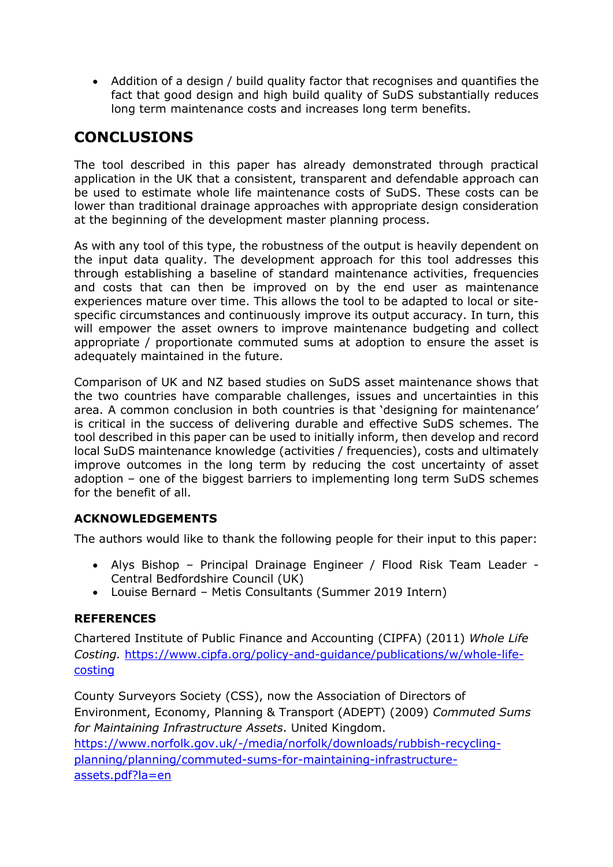• Addition of a design / build quality factor that recognises and quantifies the fact that good design and high build quality of SuDS substantially reduces long term maintenance costs and increases long term benefits.

# **CONCLUSIONS**

The tool described in this paper has already demonstrated through practical application in the UK that a consistent, transparent and defendable approach can be used to estimate whole life maintenance costs of SuDS. These costs can be lower than traditional drainage approaches with appropriate design consideration at the beginning of the development master planning process.

As with any tool of this type, the robustness of the output is heavily dependent on the input data quality. The development approach for this tool addresses this through establishing a baseline of standard maintenance activities, frequencies and costs that can then be improved on by the end user as maintenance experiences mature over time. This allows the tool to be adapted to local or sitespecific circumstances and continuously improve its output accuracy. In turn, this will empower the asset owners to improve maintenance budgeting and collect appropriate / proportionate commuted sums at adoption to ensure the asset is adequately maintained in the future.

Comparison of UK and NZ based studies on SuDS asset maintenance shows that the two countries have comparable challenges, issues and uncertainties in this area. A common conclusion in both countries is that 'designing for maintenance' is critical in the success of delivering durable and effective SuDS schemes. The tool described in this paper can be used to initially inform, then develop and record local SuDS maintenance knowledge (activities / frequencies), costs and ultimately improve outcomes in the long term by reducing the cost uncertainty of asset adoption – one of the biggest barriers to implementing long term SuDS schemes for the benefit of all.

#### **ACKNOWLEDGEMENTS**

The authors would like to thank the following people for their input to this paper:

- Alys Bishop Principal Drainage Engineer / Flood Risk Team Leader Central Bedfordshire Council (UK)
- Louise Bernard Metis Consultants (Summer 2019 Intern)

#### **REFERENCES**

Chartered Institute of Public Finance and Accounting (CIPFA) (2011) *Whole Life Costing.* [https://www.cipfa.org/policy-and-guidance/publications/w/whole-life](https://www.cipfa.org/policy-and-guidance/publications/w/whole-life-costing)[costing](https://www.cipfa.org/policy-and-guidance/publications/w/whole-life-costing)

County Surveyors Society (CSS), now the Association of Directors of Environment, Economy, Planning & Transport (ADEPT) (2009) *Commuted Sums for Maintaining Infrastructure Assets*. United Kingdom. [https://www.norfolk.gov.uk/-/media/norfolk/downloads/rubbish-recycling](https://www.norfolk.gov.uk/-/media/norfolk/downloads/rubbish-recycling-planning/planning/commuted-sums-for-maintaining-infrastructure-assets.pdf?la=en)[planning/planning/commuted-sums-for-maintaining-infrastructure](https://www.norfolk.gov.uk/-/media/norfolk/downloads/rubbish-recycling-planning/planning/commuted-sums-for-maintaining-infrastructure-assets.pdf?la=en)[assets.pdf?la=en](https://www.norfolk.gov.uk/-/media/norfolk/downloads/rubbish-recycling-planning/planning/commuted-sums-for-maintaining-infrastructure-assets.pdf?la=en)